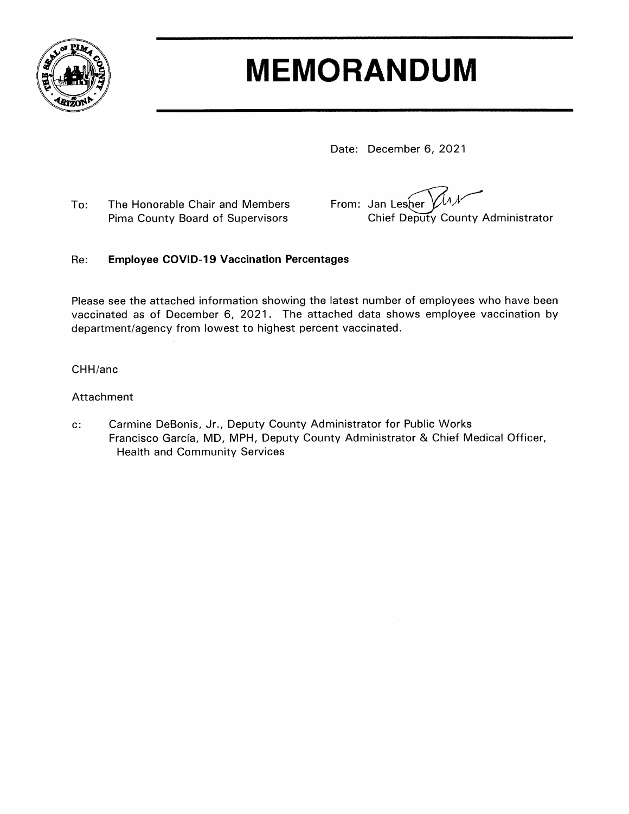

# **MEMORANDUM**

Date: December 6, 2021

To: The Honorable Chair and Members Pima County Board of Supervisors

From: Jan Lesher Chief Deputy County Administrator

#### **Employee COVID-19 Vaccination Percentages** Re:

Please see the attached information showing the latest number of employees who have been vaccinated as of December 6, 2021. The attached data shows employee vaccination by department/agency from lowest to highest percent vaccinated.

### CHH/anc

### Attachment

 $\mathbf{c}$ : Carmine DeBonis, Jr., Deputy County Administrator for Public Works Francisco García, MD, MPH, Deputy County Administrator & Chief Medical Officer, **Health and Community Services**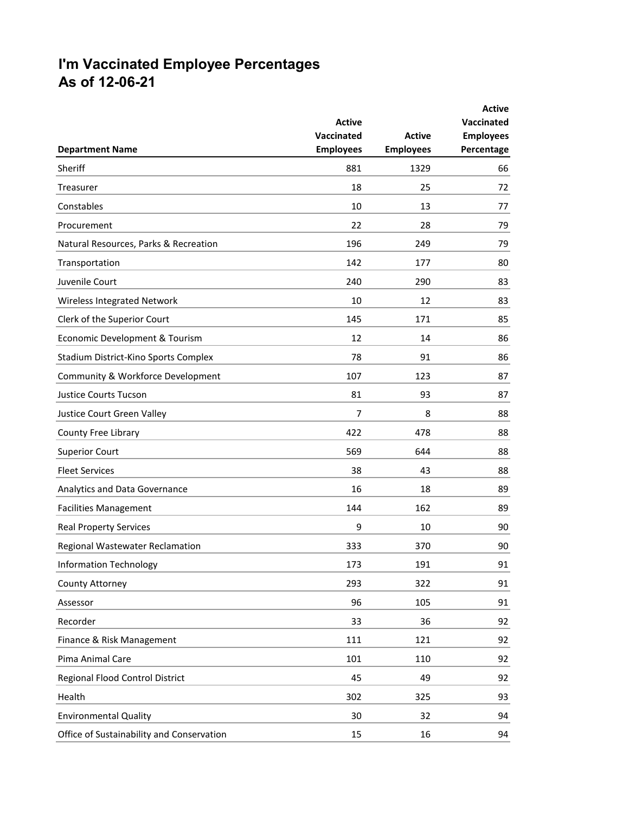## **I'm Vaccinated Employee Percentages As of 12-06-21**

|                                           |                  |                  | <b>Active</b>     |
|-------------------------------------------|------------------|------------------|-------------------|
|                                           | <b>Active</b>    |                  | <b>Vaccinated</b> |
|                                           | Vaccinated       | <b>Active</b>    | <b>Employees</b>  |
| <b>Department Name</b>                    | <b>Employees</b> | <b>Employees</b> | Percentage        |
| Sheriff                                   | 881              | 1329             | 66                |
| Treasurer                                 | 18               | 25               | 72                |
| Constables                                | 10               | 13               | 77                |
| Procurement                               | 22               | 28               | 79                |
| Natural Resources, Parks & Recreation     | 196              | 249              | 79                |
| Transportation                            | 142              | 177              | 80                |
| Juvenile Court                            | 240              | 290              | 83                |
| Wireless Integrated Network               | 10               | 12               | 83                |
| Clerk of the Superior Court               | 145              | 171              | 85                |
| Economic Development & Tourism            | 12               | 14               | 86                |
| Stadium District-Kino Sports Complex      | 78               | 91               | 86                |
| Community & Workforce Development         | 107              | 123              | 87                |
| <b>Justice Courts Tucson</b>              | 81               | 93               | 87                |
| Justice Court Green Valley                | 7                | 8                | 88                |
| County Free Library                       | 422              | 478              | 88                |
| <b>Superior Court</b>                     | 569              | 644              | 88                |
| <b>Fleet Services</b>                     | 38               | 43               | 88                |
| Analytics and Data Governance             | 16               | 18               | 89                |
| <b>Facilities Management</b>              | 144              | 162              | 89                |
| <b>Real Property Services</b>             | 9                | 10               | 90                |
| Regional Wastewater Reclamation           | 333              | 370              | 90                |
| <b>Information Technology</b>             | 173              | 191              | 91                |
| County Attorney                           | 293              | 322              | 91                |
| Assessor                                  | 96               | 105              | 91                |
| Recorder                                  | 33               | 36               | 92                |
| Finance & Risk Management                 | 111              | 121              | 92                |
| Pima Animal Care                          | 101              | 110              | 92                |
| Regional Flood Control District           | 45               | 49               | 92                |
| Health                                    | 302              | 325              | 93                |
| <b>Environmental Quality</b>              | 30               | 32               | 94                |
| Office of Sustainability and Conservation | 15               | 16               | 94                |